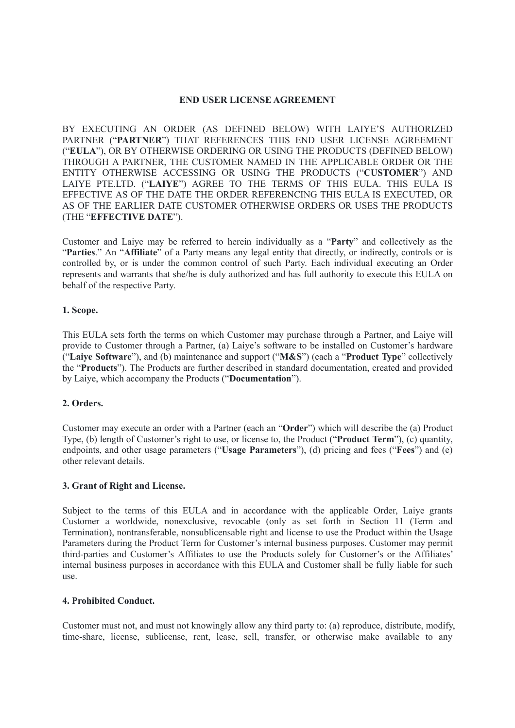### **END USER LICENSE AGREEMENT**

BY EXECUTING AN ORDER (AS DEFINED BELOW) WITH LAIYE'S AUTHORIZED PARTNER ("**PARTNER**") THAT REFERENCES THIS END USER LICENSE AGREEMENT ("**EULA**"), OR BY OTHERWISE ORDERING OR USING THE PRODUCTS (DEFINED BELOW) THROUGH A PARTNER, THE CUSTOMER NAMED IN THE APPLICABLE ORDER OR THE ENTITY OTHERWISE ACCESSING OR USING THE PRODUCTS ("**CUSTOMER**") AND LAIYE PTE.LTD. ("**LAIYE**") AGREE TO THE TERMS OF THIS EULA. THIS EULA IS EFFECTIVE AS OF THE DATE THE ORDER REFERENCING THIS EULA IS EXECUTED, OR AS OF THE EARLIER DATE CUSTOMER OTHERWISE ORDERS OR USES THE PRODUCTS (THE "**EFFECTIVE DATE**").

Customer and Laiye may be referred to herein individually as a "**Party**" and collectively as the "**Parties**." An "**Affiliate**" of a Party means any legal entity that directly, or indirectly, controls or is controlled by, or is under the common control of such Party. Each individual executing an Order represents and warrants that she/he is duly authorized and has full authority to execute this EULA on behalf of the respective Party.

### **1. Scope.**

This EULA sets forth the terms on which Customer may purchase through a Partner, and Laiye will provide to Customer through a Partner, (a) Laiye's software to be installed on Customer's hardware ("**Laiye Software**"), and (b) maintenance and support ("**M&S**") (each a "**Product Type**" collectively the "**Products**"). The Products are further described in standard documentation, created and provided by Laiye, which accompany the Products ("**Documentation**").

## **2. Orders.**

Customer may execute an order with a Partner (each an "**Order**") which will describe the (a) Product Type, (b) length of Customer's right to use, or license to, the Product ("**Product Term**"), (c) quantity, endpoints, and other usage parameters ("**Usage Parameters**"), (d) pricing and fees ("**Fees**") and (e) other relevant details.

### **3. Grant of Right and License.**

Subject to the terms of this EULA and in accordance with the applicable Order, Laiye grants Customer a worldwide, nonexclusive, revocable (only as set forth in Section 11 (Term and Termination), nontransferable, nonsublicensable right and license to use the Product within the Usage Parameters during the Product Term for Customer's internal business purposes. Customer may permit third-parties and Customer's Affiliates to use the Products solely for Customer's or the Affiliates' internal business purposes in accordance with this EULA and Customer shall be fully liable for such use.

## **4. Prohibited Conduct.**

Customer must not, and must not knowingly allow any third party to: (a) reproduce, distribute, modify, time-share, license, sublicense, rent, lease, sell, transfer, or otherwise make available to any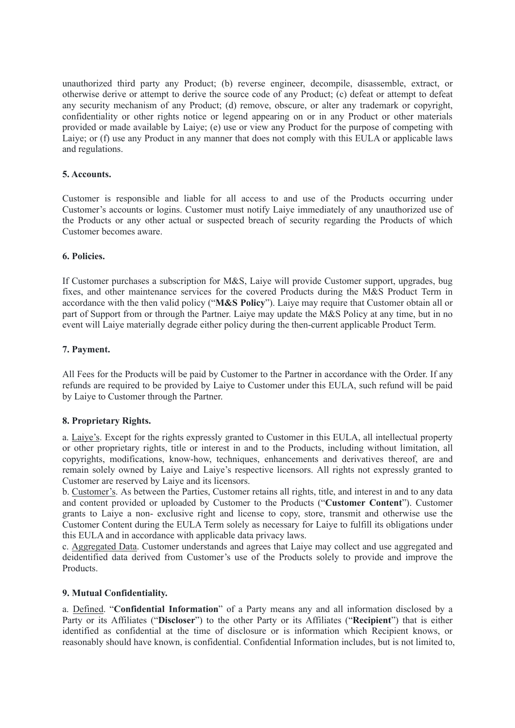unauthorized third party any Product; (b) reverse engineer, decompile, disassemble, extract, or otherwise derive or attempt to derive the source code of any Product; (c) defeat or attempt to defeat any security mechanism of any Product; (d) remove, obscure, or alter any trademark or copyright, confidentiality or other rights notice or legend appearing on or in any Product or other materials provided or made available by Laiye; (e) use or view any Product for the purpose of competing with Laiye; or (f) use any Product in any manner that does not comply with this EULA or applicable laws and regulations.

# **5. Accounts.**

Customer is responsible and liable for all access to and use of the Products occurring under Customer's accounts or logins. Customer must notify Laiye immediately of any unauthorized use of the Products or any other actual or suspected breach of security regarding the Products of which Customer becomes aware.

# **6. Policies.**

If Customer purchases a subscription for M&S, Laiye will provide Customer support, upgrades, bug fixes, and other maintenance services for the covered Products during the M&S Product Term in accordance with the then valid policy ("**M&S Policy**"). Laiye may require that Customer obtain all or part of Support from or through the Partner. Laiye may update the M&S Policy at any time, but in no event will Laiye materially degrade either policy during the then-current applicable Product Term.

# **7. Payment.**

All Fees for the Products will be paid by Customer to the Partner in accordance with the Order. If any refunds are required to be provided by Laiye to Customer under this EULA, such refund will be paid by Laiye to Customer through the Partner.

# **8. Proprietary Rights.**

a. Laiye's. Except for the rights expressly granted to Customer in this EULA, all intellectual property or other proprietary rights, title or interest in and to the Products, including without limitation, all copyrights, modifications, know-how, techniques, enhancements and derivatives thereof, are and remain solely owned by Laiye and Laiye's respective licensors. All rights not expressly granted to Customer are reserved by Laiye and its licensors.

b. Customer's. As between the Parties, Customer retains all rights, title, and interest in and to any data and content provided or uploaded by Customer to the Products ("**Customer Content**"). Customer grants to Laiye a non- exclusive right and license to copy, store, transmit and otherwise use the Customer Content during the EULA Term solely as necessary for Laiye to fulfill its obligations under this EULA and in accordance with applicable data privacy laws.

c. Aggregated Data. Customer understands and agrees that Laiye may collect and use aggregated and deidentified data derived from Customer's use of the Products solely to provide and improve the Products.

## **9. Mutual Confidentiality.**

a. Defined. "**Confidential Information**" of a Party means any and all information disclosed by a Party or its Affiliates ("**Discloser**") to the other Party or its Affiliates ("**Recipient**") that is either identified as confidential at the time of disclosure or is information which Recipient knows, or reasonably should have known, is confidential. Confidential Information includes, but is not limited to,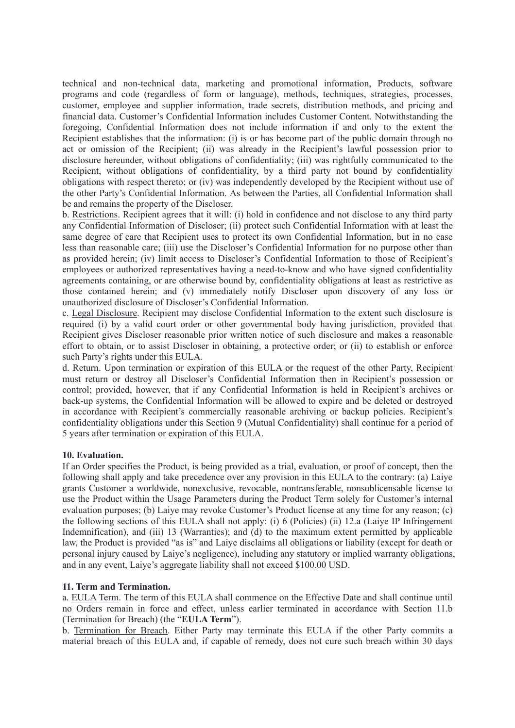technical and non-technical data, marketing and promotional information, Products, software programs and code (regardless of form or language), methods, techniques, strategies, processes, customer, employee and supplier information, trade secrets, distribution methods, and pricing and financial data. Customer's Confidential Information includes Customer Content. Notwithstanding the foregoing, Confidential Information does not include information if and only to the extent the Recipient establishes that the information: (i) is or has become part of the public domain through no act or omission of the Recipient; (ii) was already in the Recipient's lawful possession prior to disclosure hereunder, without obligations of confidentiality; (iii) was rightfully communicated to the Recipient, without obligations of confidentiality, by a third party not bound by confidentiality obligations with respect thereto; or (iv) was independently developed by the Recipient without use of the other Party's Confidential Information. As between the Parties, all Confidential Information shall be and remains the property of the Discloser.

b. Restrictions. Recipient agrees that it will: (i) hold in confidence and not disclose to any third party any Confidential Information of Discloser; (ii) protect such Confidential Information with at least the same degree of care that Recipient uses to protect its own Confidential Information, but in no case less than reasonable care; (iii) use the Discloser's Confidential Information for no purpose other than as provided herein; (iv) limit access to Discloser's Confidential Information to those of Recipient's employees or authorized representatives having a need-to-know and who have signed confidentiality agreements containing, or are otherwise bound by, confidentiality obligations at least as restrictive as those contained herein; and (v) immediately notify Discloser upon discovery of any loss or unauthorized disclosure of Discloser's Confidential Information.

c. Legal Disclosure. Recipient may disclose Confidential Information to the extent such disclosure is required (i) by a valid court order or other governmental body having jurisdiction, provided that Recipient gives Discloser reasonable prior written notice of such disclosure and makes a reasonable effort to obtain, or to assist Discloser in obtaining, a protective order; or (ii) to establish or enforce such Party's rights under this EULA.

d. Return. Upon termination or expiration of this EULA or the request of the other Party, Recipient must return or destroy all Discloser's Confidential Information then in Recipient's possession or control; provided, however, that if any Confidential Information is held in Recipient's archives or back-up systems, the Confidential Information will be allowed to expire and be deleted or destroyed in accordance with Recipient's commercially reasonable archiving or backup policies. Recipient's confidentiality obligations under this Section 9 (Mutual Confidentiality) shall continue for a period of 5 years after termination or expiration of this EULA.

## **10. Evaluation.**

If an Order specifies the Product, is being provided as a trial, evaluation, or proof of concept, then the following shall apply and take precedence over any provision in this EULA to the contrary: (a) Laiye grants Customer a worldwide, nonexclusive, revocable, nontransferable, nonsublicensable license to use the Product within the Usage Parameters during the Product Term solely for Customer's internal evaluation purposes; (b) Laiye may revoke Customer's Product license at any time for any reason; (c) the following sections of this EULA shall not apply: (i) 6 (Policies) (ii) 12.a (Laiye IP Infringement Indemnification), and (iii) 13 (Warranties); and (d) to the maximum extent permitted by applicable law, the Product is provided "as is" and Laiye disclaims all obligations or liability (except for death or personal injury caused by Laiye's negligence), including any statutory or implied warranty obligations, and in any event, Laiye's aggregate liability shall not exceed \$100.00 USD.

## **11. Term and Termination.**

a. EULA Term. The term of this EULA shall commence on the Effective Date and shall continue until no Orders remain in force and effect, unless earlier terminated in accordance with Section 11.b (Termination for Breach) (the "**EULA Term**").

b. Termination for Breach. Either Party may terminate this EULA if the other Party commits a material breach of this EULA and, if capable of remedy, does not cure such breach within 30 days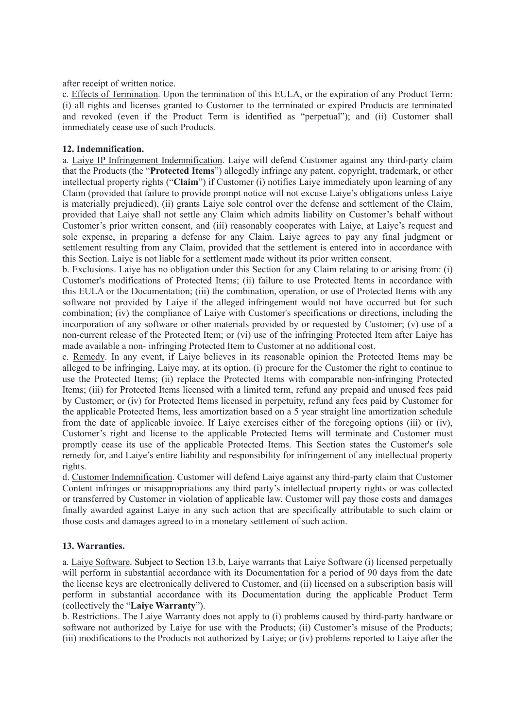after receipt of written notice.

c. Effects of Termination. Upon the termination of this EULA, or the expiration of any Product Term: (i) all rights and licenses granted to Customer to the terminated or expired Products are terminated and revoked (even if the Product Term is identified as "perpetual"); and (ii) Customer shall immediately cease use of such Products.

## **12. Indemnification.**

a. Laiye IP Infringement Indemnification. Laiye will defend Customer against any third-party claim that the Products (the "**Protected Items**") allegedly infringe any patent, copyright, trademark, or other intellectual property rights ("**Claim**") if Customer (i) notifies Laiye immediately upon learning of any Claim (provided that failure to provide prompt notice will not excuse Laiye's obligations unless Laiye is materially prejudiced), (ii) grants Laiye sole control over the defense and settlement of the Claim, provided that Laiye shall not settle any Claim which admits liability on Customer's behalf without Customer's prior written consent, and (iii) reasonably cooperates with Laiye, at Laiye's request and sole expense, in preparing a defense for any Claim. Laiye agrees to pay any final judgment or settlement resulting from any Claim, provided that the settlement is entered into in accordance with this Section. Laiye is not liable for a settlement made without its prior written consent.

b. Exclusions. Laiye has no obligation under this Section for any Claim relating to or arising from: (i) Customer's modifications of Protected Items; (ii) failure to use Protected Items in accordance with this EULA or the Documentation; (iii) the combination, operation, or use of Protected Items with any software not provided by Laiye if the alleged infringement would not have occurred but for such combination; (iv) the compliance of Laiye with Customer's specifications or directions, including the incorporation of any software or other materials provided by or requested by Customer; (v) use of a non-current release of the Protected Item; or (vi) use of the infringing Protected Item after Laiye has made available a non- infringing Protected Item to Customer at no additional cost.

c. Remedy. In any event, if Laiye believes in its reasonable opinion the Protected Items may be alleged to be infringing, Laiye may, at its option, (i) procure for the Customer the right to continue to use the Protected Items; (ii) replace the Protected Items with comparable non-infringing Protected Items; (iii) for Protected Items licensed with a limited term, refund any prepaid and unused fees paid by Customer; or (iv) for Protected Items licensed in perpetuity, refund any fees paid by Customer for the applicable Protected Items, less amortization based on a 5 year straight line amortization schedule from the date of applicable invoice. If Laiye exercises either of the foregoing options (iii) or (iv), Customer's right and license to the applicable Protected Items will terminate and Customer must promptly cease its use of the applicable Protected Items. This Section states the Customer's sole remedy for, and Laiye's entire liability and responsibility for infringement of any intellectual property rights.

d. Customer Indemnification. Customer will defend Laiye against any third-party claim that Customer Content infringes or misappropriations any third party's intellectual property rights or was collected or transferred by Customer in violation of applicable law. Customer will pay those costs and damages finally awarded against Laiye in any such action that are specifically attributable to such claim or those costs and damages agreed to in a monetary settlement of such action.

## **13. Warranties.**

a. Laiye Software. Subject to Section 13.b, Laiye warrants that Laiye Software (i) licensed perpetually will perform in substantial accordance with its Documentation for a period of 90 days from the date the license keys are electronically delivered to Customer, and (ii) licensed on a subscription basis will perform in substantial accordance with its Documentation during the applicable Product Term (collectively the "**Laiye Warranty**").

b. Restrictions. The Laiye Warranty does not apply to (i) problems caused by third-party hardware or software not authorized by Laiye for use with the Products; (ii) Customer's misuse of the Products; (iii) modifications to the Products not authorized by Laiye; or (iv) problems reported to Laiye after the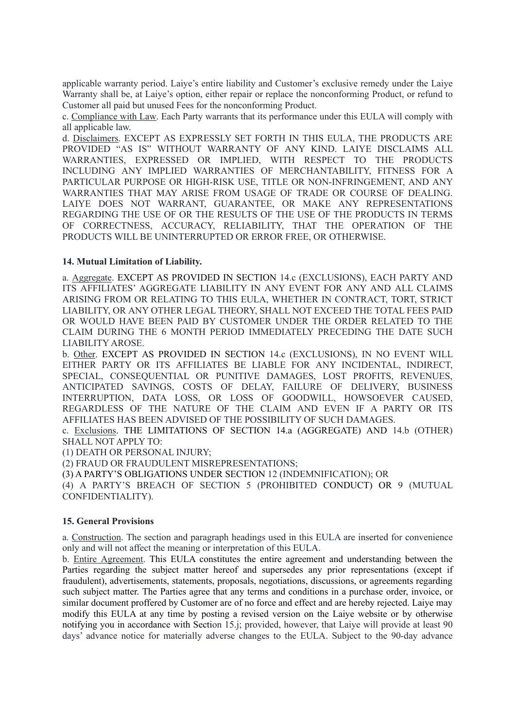applicable warranty period. Laiye's entire liability and Customer's exclusive remedy under the Laiye Warranty shall be, at Laiye's option, either repair or replace the nonconforming Product, or refund to Customer all paid but unused Fees for the nonconforming Product.

c. Compliance with Law. Each Party warrants that its performance under this EULA will comply with all applicable law.

d. Disclaimers. EXCEPT AS EXPRESSLY SET FORTH IN THIS EULA, THE PRODUCTS ARE PROVIDED "AS IS" WITHOUT WARRANTY OF ANY KIND. LAIYE DISCLAIMS ALL WARRANTIES, EXPRESSED OR IMPLIED, WITH RESPECT TO THE PRODUCTS INCLUDING ANY IMPLIED WARRANTIES OF MERCHANTABILITY, FITNESS FOR A PARTICULAR PURPOSE OR HIGH-RISK USE, TITLE OR NON-INFRINGEMENT, AND ANY WARRANTIES THAT MAY ARISE FROM USAGE OF TRADE OR COURSE OF DEALING. LAIYE DOES NOT WARRANT, GUARANTEE, OR MAKE ANY REPRESENTATIONS REGARDING THE USE OF OR THE RESULTS OF THE USE OF THE PRODUCTS IN TERMS OF CORRECTNESS, ACCURACY, RELIABILITY, THAT THE OPERATION OF THE PRODUCTS WILL BE UNINTERRUPTED OR ERROR FREE, OR OTHERWISE.

## **14. Mutual Limitation of Liability.**

a. Aggregate. EXCEPT AS PROVIDED IN SECTION 14.c (EXCLUSIONS), EACH PARTY AND ITS AFFILIATES' AGGREGATE LIABILITY IN ANY EVENT FOR ANY AND ALL CLAIMS ARISING FROM OR RELATING TO THIS EULA, WHETHER IN CONTRACT, TORT, STRICT LIABILITY, OR ANY OTHER LEGAL THEORY, SHALL NOT EXCEED THE TOTAL FEES PAID OR WOULD HAVE BEEN PAID BY CUSTOMER UNDER THE ORDER RELATED TO THE CLAIM DURING THE 6 MONTH PERIOD IMMEDIATELY PRECEDING THE DATE SUCH LIABILITY AROSE.

b. Other. EXCEPT AS PROVIDED IN SECTION 14.c (EXCLUSIONS), IN NO EVENT WILL EITHER PARTY OR ITS AFFILIATES BE LIABLE FOR ANY INCIDENTAL, INDIRECT, SPECIAL, CONSEQUENTIAL OR PUNITIVE DAMAGES, LOST PROFITS, REVENUES, ANTICIPATED SAVINGS, COSTS OF DELAY, FAILURE OF DELIVERY, BUSINESS INTERRUPTION, DATA LOSS, OR LOSS OF GOODWILL, HOWSOEVER CAUSED, REGARDLESS OF THE NATURE OF THE CLAIM AND EVEN IF A PARTY OR ITS AFFILIATES HAS BEEN ADVISED OF THE POSSIBILITY OF SUCH DAMAGES.

c. Exclusions. THE LIMITATIONS OF SECTION 14.a (AGGREGATE) AND 14.b (OTHER) SHALL NOT APPLY TO:

(1) DEATH OR PERSONAL INJURY;

(2) FRAUD OR FRAUDULENT MISREPRESENTATIONS;

(3) A PARTY'S OBLIGATIONS UNDER SECTION 12 (INDEMNIFICATION); OR

(4) A PARTY'S BREACH OF SECTION 5 (PROHIBITED CONDUCT) OR 9 (MUTUAL CONFIDENTIALITY).

### **15. General Provisions**

a. Construction. The section and paragraph headings used in this EULA are inserted for convenience only and will not affect the meaning or interpretation of this EULA.

b. Entire Agreement. This EULA constitutes the entire agreement and understanding between the Parties regarding the subject matter hereof and supersedes any prior representations (except if fraudulent), advertisements, statements, proposals, negotiations, discussions, or agreements regarding such subject matter. The Parties agree that any terms and conditions in a purchase order, invoice, or similar document proffered by Customer are of no force and effect and are hereby rejected. Laiye may modify this EULA at any time by posting a revised version on the Laiye website or by otherwise notifying you in accordance with Section 15.j; provided, however, that Laiye will provide at least 90 days' advance notice for materially adverse changes to the EULA. Subject to the 90-day advance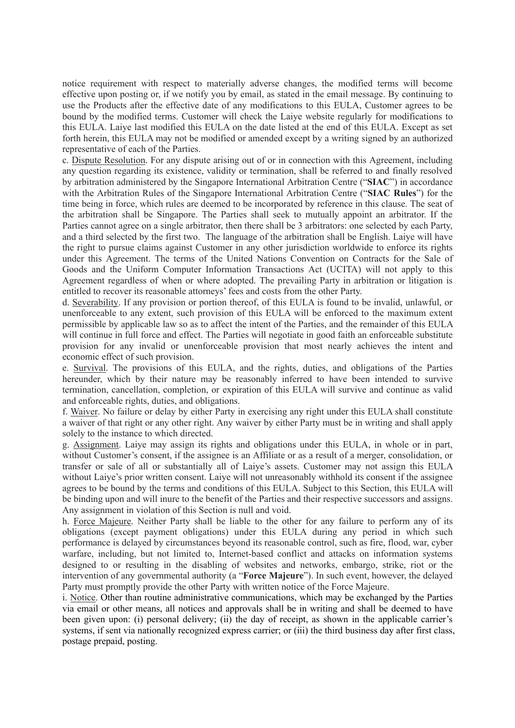notice requirement with respect to materially adverse changes, the modified terms will become effective upon posting or, if we notify you by email, as stated in the email message. By continuing to use the Products after the effective date of any modifications to this EULA, Customer agrees to be bound by the modified terms. Customer will check the Laiye website regularly for modifications to this EULA. Laiye last modified this EULA on the date listed at the end of this EULA. Except as set forth herein, this EULA may not be modified or amended except by a writing signed by an authorized representative of each of the Parties.

c. Dispute Resolution. For any dispute arising out of or in connection with this Agreement, including any question regarding its existence, validity or termination, shall be referred to and finally resolved by arbitration administered by the Singapore International Arbitration Centre ("**SIAC**") in accordance with the Arbitration Rules of the Singapore International Arbitration Centre ("**SIAC Rules**") for the time being in force, which rules are deemed to be incorporated by reference in this clause. The seat of the arbitration shall be Singapore. The Parties shall seek to mutually appoint an arbitrator. If the Parties cannot agree on a single arbitrator, then there shall be 3 arbitrators: one selected by each Party, and a third selected by the first two. The language of the arbitration shall be English. Laiye will have the right to pursue claims against Customer in any other jurisdiction worldwide to enforce its rights under this Agreement. The terms of the United Nations Convention on Contracts for the Sale of Goods and the Uniform Computer Information Transactions Act (UCITA) will not apply to this Agreement regardless of when or where adopted. The prevailing Party in arbitration or litigation is entitled to recover its reasonable attorneys' fees and costs from the other Party.

d. Severability. If any provision or portion thereof, of this EULA is found to be invalid, unlawful, or unenforceable to any extent, such provision of this EULA will be enforced to the maximum extent permissible by applicable law so as to affect the intent of the Parties, and the remainder of this EULA will continue in full force and effect. The Parties will negotiate in good faith an enforceable substitute provision for any invalid or unenforceable provision that most nearly achieves the intent and economic effect of such provision.

e. Survival. The provisions of this EULA, and the rights, duties, and obligations of the Parties hereunder, which by their nature may be reasonably inferred to have been intended to survive termination, cancellation, completion, or expiration of this EULA will survive and continue as valid and enforceable rights, duties, and obligations.

f. Waiver. No failure or delay by either Party in exercising any right under this EULA shall constitute a waiver of that right or any other right. Any waiver by either Party must be in writing and shall apply solely to the instance to which directed.

g. Assignment. Laiye may assign its rights and obligations under this EULA, in whole or in part, without Customer's consent, if the assignee is an Affiliate or as a result of a merger, consolidation, or transfer or sale of all or substantially all of Laiye's assets. Customer may not assign this EULA without Laiye's prior written consent. Laiye will not unreasonably withhold its consent if the assignee agrees to be bound by the terms and conditions of this EULA. Subject to this Section, this EULA will be binding upon and will inure to the benefit of the Parties and their respective successors and assigns. Any assignment in violation of this Section is null and void.

h. Force Majeure. Neither Party shall be liable to the other for any failure to perform any of its obligations (except payment obligations) under this EULA during any period in which such performance is delayed by circumstances beyond its reasonable control, such as fire, flood, war, cyber warfare, including, but not limited to, Internet-based conflict and attacks on information systems designed to or resulting in the disabling of websites and networks, embargo, strike, riot or the intervention of any governmental authority (a "**Force Majeure**"). In such event, however, the delayed Party must promptly provide the other Party with written notice of the Force Majeure.

i. Notice. Other than routine administrative communications, which may be exchanged by the Parties via email or other means, all notices and approvals shall be in writing and shall be deemed to have been given upon: (i) personal delivery; (ii) the day of receipt, as shown in the applicable carrier's systems, if sent via nationally recognized express carrier; or (iii) the third business day after first class, postage prepaid, posting.